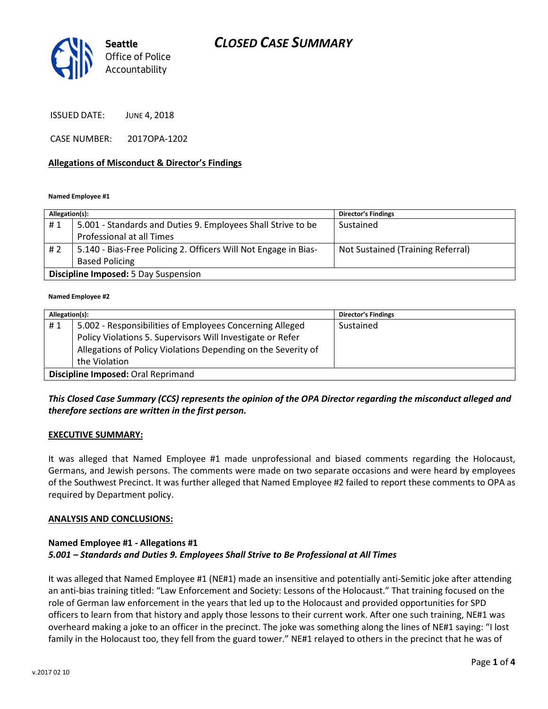## CLOSED CASE SUMMARY



ISSUED DATE: JUNE 4, 2018

CASE NUMBER: 2017OPA-1202

### Allegations of Misconduct & Director's Findings

#### Named Employee #1

| Allegation(s):                              |                                                                 | <b>Director's Findings</b>        |  |
|---------------------------------------------|-----------------------------------------------------------------|-----------------------------------|--|
| #1                                          | 5.001 - Standards and Duties 9. Employees Shall Strive to be    | Sustained                         |  |
|                                             | Professional at all Times                                       |                                   |  |
| # 2                                         | 5.140 - Bias-Free Policing 2. Officers Will Not Engage in Bias- | Not Sustained (Training Referral) |  |
|                                             | <b>Based Policing</b>                                           |                                   |  |
| <b>Discipline Imposed: 5 Day Suspension</b> |                                                                 |                                   |  |

#### Named Employee #2

| Allegation(s):                     |                                                               | <b>Director's Findings</b> |  |
|------------------------------------|---------------------------------------------------------------|----------------------------|--|
| #1                                 | 5.002 - Responsibilities of Employees Concerning Alleged      | Sustained                  |  |
|                                    | Policy Violations 5. Supervisors Will Investigate or Refer    |                            |  |
|                                    | Allegations of Policy Violations Depending on the Severity of |                            |  |
|                                    | the Violation                                                 |                            |  |
| Discipline Imposed: Oral Reprimand |                                                               |                            |  |

## This Closed Case Summary (CCS) represents the opinion of the OPA Director regarding the misconduct alleged and therefore sections are written in the first person.

### EXECUTIVE SUMMARY:

It was alleged that Named Employee #1 made unprofessional and biased comments regarding the Holocaust, Germans, and Jewish persons. The comments were made on two separate occasions and were heard by employees of the Southwest Precinct. It was further alleged that Named Employee #2 failed to report these comments to OPA as required by Department policy.

### ANALYSIS AND CONCLUSIONS:

## Named Employee #1 - Allegations #1 5.001 – Standards and Duties 9. Employees Shall Strive to Be Professional at All Times

It was alleged that Named Employee #1 (NE#1) made an insensitive and potentially anti-Semitic joke after attending an anti-bias training titled: "Law Enforcement and Society: Lessons of the Holocaust." That training focused on the role of German law enforcement in the years that led up to the Holocaust and provided opportunities for SPD officers to learn from that history and apply those lessons to their current work. After one such training, NE#1 was overheard making a joke to an officer in the precinct. The joke was something along the lines of NE#1 saying: "I lost family in the Holocaust too, they fell from the guard tower." NE#1 relayed to others in the precinct that he was of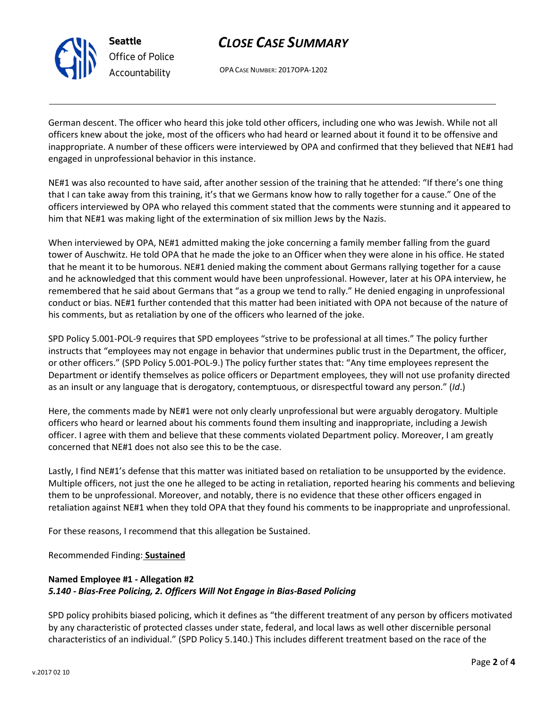

# CLOSE CASE SUMMARY

OPA CASE NUMBER: 2017OPA-1202

German descent. The officer who heard this joke told other officers, including one who was Jewish. While not all officers knew about the joke, most of the officers who had heard or learned about it found it to be offensive and inappropriate. A number of these officers were interviewed by OPA and confirmed that they believed that NE#1 had engaged in unprofessional behavior in this instance.

NE#1 was also recounted to have said, after another session of the training that he attended: "If there's one thing that I can take away from this training, it's that we Germans know how to rally together for a cause." One of the officers interviewed by OPA who relayed this comment stated that the comments were stunning and it appeared to him that NE#1 was making light of the extermination of six million Jews by the Nazis.

When interviewed by OPA, NE#1 admitted making the joke concerning a family member falling from the guard tower of Auschwitz. He told OPA that he made the joke to an Officer when they were alone in his office. He stated that he meant it to be humorous. NE#1 denied making the comment about Germans rallying together for a cause and he acknowledged that this comment would have been unprofessional. However, later at his OPA interview, he remembered that he said about Germans that "as a group we tend to rally." He denied engaging in unprofessional conduct or bias. NE#1 further contended that this matter had been initiated with OPA not because of the nature of his comments, but as retaliation by one of the officers who learned of the joke.

SPD Policy 5.001-POL-9 requires that SPD employees "strive to be professional at all times." The policy further instructs that "employees may not engage in behavior that undermines public trust in the Department, the officer, or other officers." (SPD Policy 5.001-POL-9.) The policy further states that: "Any time employees represent the Department or identify themselves as police officers or Department employees, they will not use profanity directed as an insult or any language that is derogatory, contemptuous, or disrespectful toward any person." (Id.)

Here, the comments made by NE#1 were not only clearly unprofessional but were arguably derogatory. Multiple officers who heard or learned about his comments found them insulting and inappropriate, including a Jewish officer. I agree with them and believe that these comments violated Department policy. Moreover, I am greatly concerned that NE#1 does not also see this to be the case.

Lastly, I find NE#1's defense that this matter was initiated based on retaliation to be unsupported by the evidence. Multiple officers, not just the one he alleged to be acting in retaliation, reported hearing his comments and believing them to be unprofessional. Moreover, and notably, there is no evidence that these other officers engaged in retaliation against NE#1 when they told OPA that they found his comments to be inappropriate and unprofessional.

For these reasons, I recommend that this allegation be Sustained.

Recommended Finding: Sustained

## Named Employee #1 - Allegation #2 5.140 - Bias-Free Policing, 2. Officers Will Not Engage in Bias-Based Policing

SPD policy prohibits biased policing, which it defines as "the different treatment of any person by officers motivated by any characteristic of protected classes under state, federal, and local laws as well other discernible personal characteristics of an individual." (SPD Policy 5.140.) This includes different treatment based on the race of the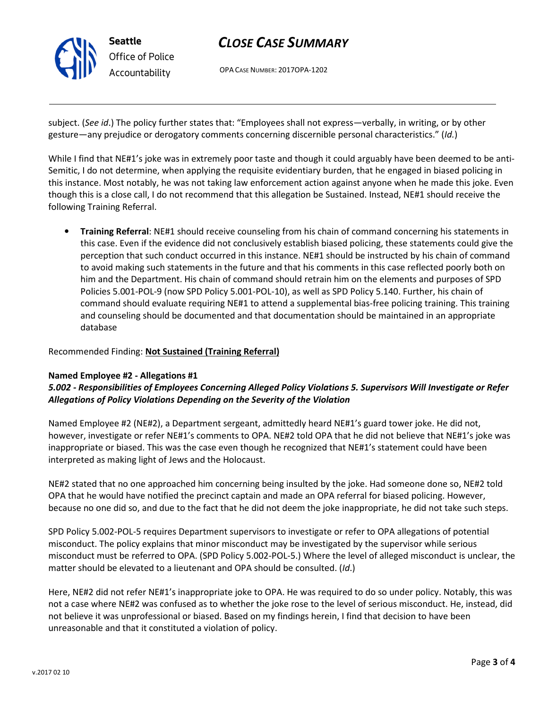

## CLOSE CASE SUMMARY

OPA CASE NUMBER: 2017OPA-1202

subject. (See id.) The policy further states that: "Employees shall not express—verbally, in writing, or by other gesture—any prejudice or derogatory comments concerning discernible personal characteristics." (Id.)

While I find that NE#1's joke was in extremely poor taste and though it could arguably have been deemed to be anti-Semitic, I do not determine, when applying the requisite evidentiary burden, that he engaged in biased policing in this instance. Most notably, he was not taking law enforcement action against anyone when he made this joke. Even though this is a close call, I do not recommend that this allegation be Sustained. Instead, NE#1 should receive the following Training Referral.

• Training Referral: NE#1 should receive counseling from his chain of command concerning his statements in this case. Even if the evidence did not conclusively establish biased policing, these statements could give the perception that such conduct occurred in this instance. NE#1 should be instructed by his chain of command to avoid making such statements in the future and that his comments in this case reflected poorly both on him and the Department. His chain of command should retrain him on the elements and purposes of SPD Policies 5.001-POL-9 (now SPD Policy 5.001-POL-10), as well as SPD Policy 5.140. Further, his chain of command should evaluate requiring NE#1 to attend a supplemental bias-free policing training. This training and counseling should be documented and that documentation should be maintained in an appropriate database

### Recommended Finding: Not Sustained (Training Referral)

### Named Employee #2 - Allegations #1

## 5.002 - Responsibilities of Employees Concerning Alleged Policy Violations 5. Supervisors Will Investigate or Refer Allegations of Policy Violations Depending on the Severity of the Violation

Named Employee #2 (NE#2), a Department sergeant, admittedly heard NE#1's guard tower joke. He did not, however, investigate or refer NE#1's comments to OPA. NE#2 told OPA that he did not believe that NE#1's joke was inappropriate or biased. This was the case even though he recognized that NE#1's statement could have been interpreted as making light of Jews and the Holocaust.

NE#2 stated that no one approached him concerning being insulted by the joke. Had someone done so, NE#2 told OPA that he would have notified the precinct captain and made an OPA referral for biased policing. However, because no one did so, and due to the fact that he did not deem the joke inappropriate, he did not take such steps.

SPD Policy 5.002-POL-5 requires Department supervisors to investigate or refer to OPA allegations of potential misconduct. The policy explains that minor misconduct may be investigated by the supervisor while serious misconduct must be referred to OPA. (SPD Policy 5.002-POL-5.) Where the level of alleged misconduct is unclear, the matter should be elevated to a lieutenant and OPA should be consulted. (Id.)

Here, NE#2 did not refer NE#1's inappropriate joke to OPA. He was required to do so under policy. Notably, this was not a case where NE#2 was confused as to whether the joke rose to the level of serious misconduct. He, instead, did not believe it was unprofessional or biased. Based on my findings herein, I find that decision to have been unreasonable and that it constituted a violation of policy.